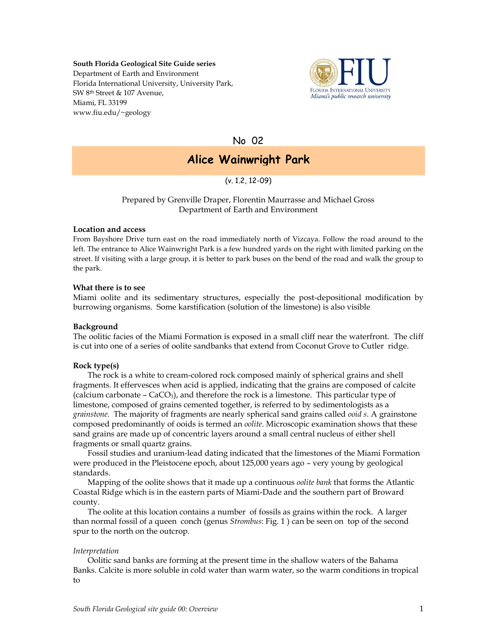#### **South Florida Geological Site Guide series**

Department of Earth and Environment Florida International University, University Park, SW 8th Street & 107 Avenue, Miami, FL 33199 www.fiu.edu/~geology



No 02

# **Alice Wainwright Park**

(v. 1.2, 12-09)

# Prepared by Grenville Draper, Florentin Maurrasse and Michael Gross Department of Earth and Environment

#### **Location and access**

From Bayshore Drive turn east on the road immediately north of Vizcaya. Follow the road around to the left. The entrance to Alice Wainwright Park is a few hundred yards on the right with limited parking on the street. If visiting with a large group, it is better to park buses on the bend of the road and walk the group to the park.

## **What there is to see**

Miami oolite and its sedimentary structures, especially the post-depositional modification by burrowing organisms. Some karstification (solution of the limestone) is also visible

## **Background**

The oolitic facies of the Miami Formation is exposed in a small cliff near the waterfront. The cliff is cut into one of a series of oolite sandbanks that extend from Coconut Grove to Cutler ridge.

# **Rock type(s)**

The rock is a white to cream-colored rock composed mainly of spherical grains and shell fragments. It effervesces when acid is applied, indicating that the grains are composed of calcite (calcium carbonate –  $CaCO<sub>3</sub>$ ), and therefore the rock is a limestone. This particular type of limestone, composed of grains cemented together, is referred to by sedimentologists as a *grainstone*. The majority of fragments are nearly spherical sand grains called *ooid s*. A grainstone composed predominantly of ooids is termed an *oolite*. Microscopic examination shows that these sand grains are made up of concentric layers around a small central nucleus of either shell fragments or small quartz grains.

Fossil studies and uranium-lead dating indicated that the limestones of the Miami Formation were produced in the Pleistocene epoch, about 125,000 years ago – very young by geological standards.

Mapping of the oolite shows that it made up a continuous *oolite bank* that forms the Atlantic Coastal Ridge which is in the eastern parts of Miami-Dade and the southern part of Broward county.

The oolite at this location contains a number of fossils as grains within the rock. A larger than normal fossil of a queen conch (genus *Strombus*: Fig. 1 ) can be seen on top of the second spur to the north on the outcrop.

## *Interpretation*

Oolitic sand banks are forming at the present time in the shallow waters of the Bahama Banks. Calcite is more soluble in cold water than warm water, so the warm conditions in tropical to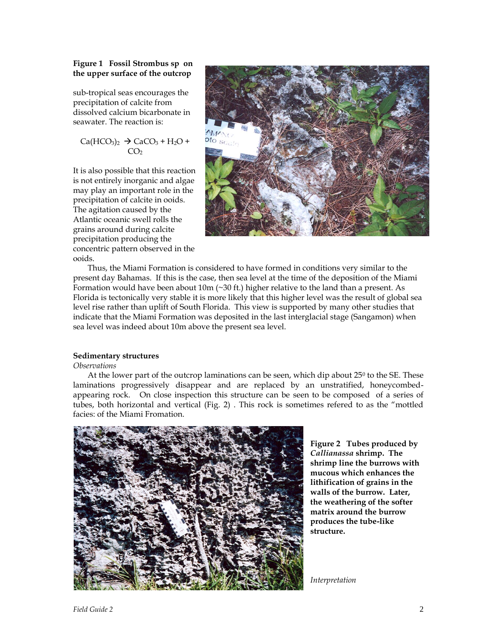## **Figure 1 Fossil Strombus sp on the upper surface of the outcrop**

sub-tropical seas encourages the precipitation of calcite from dissolved calcium bicarbonate in seawater. The reaction is:

$$
Ca(HCO3)2 \rightarrow CaCO3 + H2O + CO2
$$

It is also possible that this reaction is not entirely inorganic and algae may play an important role in the precipitation of calcite in ooids. The agitation caused by the Atlantic oceanic swell rolls the grains around during calcite precipitation producing the concentric pattern observed in the ooids.



Thus, the Miami Formation is considered to have formed in conditions very similar to the present day Bahamas. If this is the case, then sea level at the time of the deposition of the Miami Formation would have been about  $10m$  ( $\sim$ 30 ft.) higher relative to the land than a present. As Florida is tectonically very stable it is more likely that this higher level was the result of global sea level rise rather than uplift of South Florida. This view is supported by many other studies that indicate that the Miami Formation was deposited in the last interglacial stage (Sangamon) when sea level was indeed about 10m above the present sea level.

## **Sedimentary structures**

## *Observations*

At the lower part of the outcrop laminations can be seen, which dip about  $25^{\circ}$  to the SE. These laminations progressively disappear and are replaced by an unstratified, honeycombedappearing rock. On close inspection this structure can be seen to be composed of a series of tubes, both horizontal and vertical (Fig. 2) . This rock is sometimes refered to as the "mottled facies: of the Miami Fromation.



**Figure 2 Tubes produced by**  *Callianassa* **shrimp. The shrimp line the burrows with mucous which enhances the lithification of grains in the walls of the burrow. Later, the weathering of the softer matrix around the burrow produces the tube-like structure.**

*Interpretation*